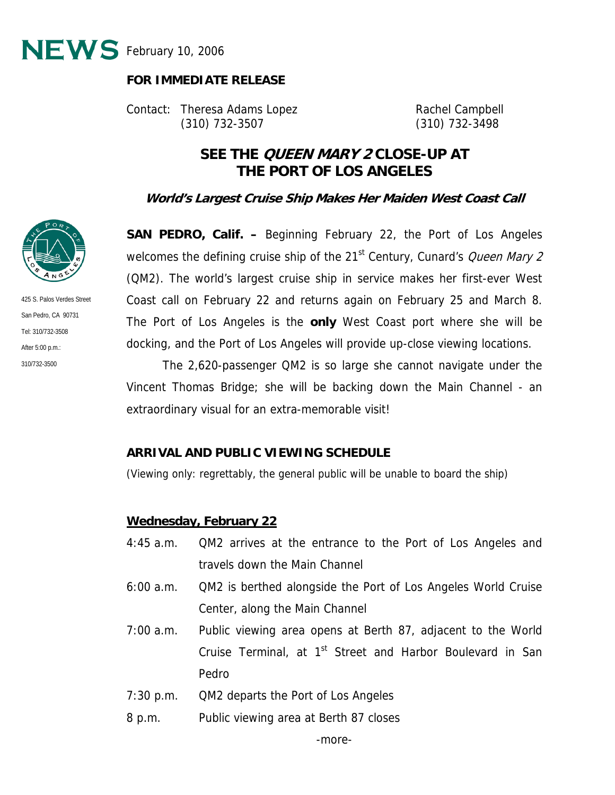

#### **FOR IMMEDIATE RELEASE**

Contact: Theresa Adams Lopez **Rachel Campbell** (310) 732-3507 (310) 732-3498

# **SEE THE QUEEN MARY 2 CLOSE-UP AT THE PORT OF LOS ANGELES**

**World's Largest Cruise Ship Makes Her Maiden West Coast Call** 

**SAN PEDRO, Calif. –** Beginning February 22, the Port of Los Angeles welcomes the defining cruise ship of the 21<sup>st</sup> Century, Cunard's *Queen Mary 2* (QM2). The world's largest cruise ship in service makes her first-ever West Coast call on February 22 and returns again on February 25 and March 8. The Port of Los Angeles is the **only** West Coast port where she will be docking, and the Port of Los Angeles will provide up-close viewing locations.

310/732-3500 The 2,620-passenger QM2 is so large she cannot navigate under the Vincent Thomas Bridge; she will be backing down the Main Channel - an extraordinary visual for an extra-memorable visit!

#### **ARRIVAL AND PUBLIC VIEWING SCHEDULE**

(Viewing only: regrettably, the general public will be unable to board the ship)

#### **Wednesday, February 22**

- 4:45 a.m. QM2 arrives at the entrance to the Port of Los Angeles and travels down the Main Channel
- 6:00 a.m. QM2 is berthed alongside the Port of Los Angeles World Cruise Center, along the Main Channel
- 7:00 a.m. Public viewing area opens at Berth 87, adjacent to the World Cruise Terminal, at 1<sup>st</sup> Street and Harbor Boulevard in San Pedro
- 7:30 p.m. QM2 departs the Port of Los Angeles
- 8 p.m. Public viewing area at Berth 87 closes



425 S. Palos Verdes Street San Pedro, CA 90731 Tel: 310/732-3508 After 5:00 p.m.: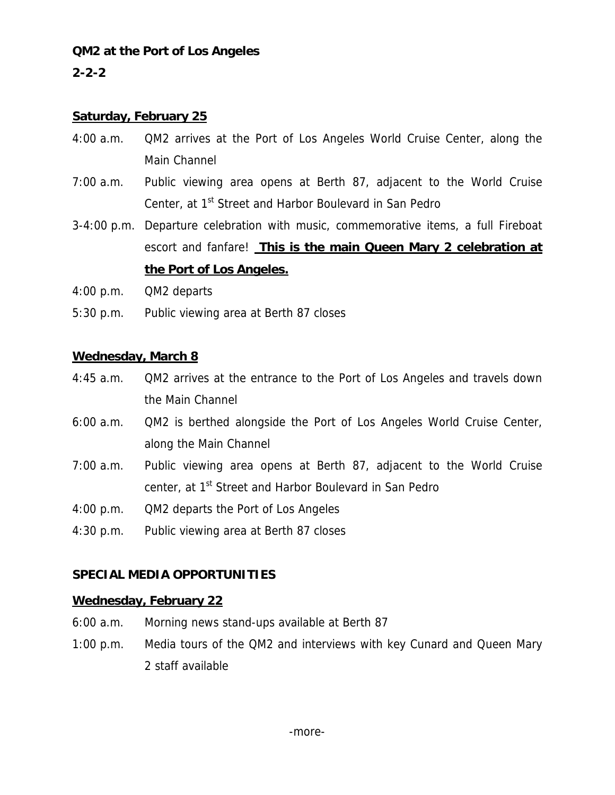### **QM2 at the Port of Los Angeles**

### **2-2-2**

#### **Saturday, February 25**

- 4:00 a.m. QM2 arrives at the Port of Los Angeles World Cruise Center, along the Main Channel
- 7:00 a.m. Public viewing area opens at Berth 87, adjacent to the World Cruise Center, at 1<sup>st</sup> Street and Harbor Boulevard in San Pedro
- 3-4:00 p.m. Departure celebration with music, commemorative items, a full Fireboat escort and fanfare! **This is the main Queen Mary 2 celebration at the Port of Los Angeles.**
- 4:00 p.m. QM2 departs
- 5:30 p.m. Public viewing area at Berth 87 closes

#### **Wednesday, March 8**

- 4:45 a.m. QM2 arrives at the entrance to the Port of Los Angeles and travels down the Main Channel
- 6:00 a.m. QM2 is berthed alongside the Port of Los Angeles World Cruise Center, along the Main Channel
- 7:00 a.m. Public viewing area opens at Berth 87, adjacent to the World Cruise center, at 1<sup>st</sup> Street and Harbor Boulevard in San Pedro
- 4:00 p.m. QM2 departs the Port of Los Angeles
- 4:30 p.m. Public viewing area at Berth 87 closes

### **SPECIAL MEDIA OPPORTUNITIES**

#### **Wednesday, February 22**

- 6:00 a.m. Morning news stand-ups available at Berth 87
- 1:00 p.m. Media tours of the QM2 and interviews with key Cunard and Queen Mary 2 staff available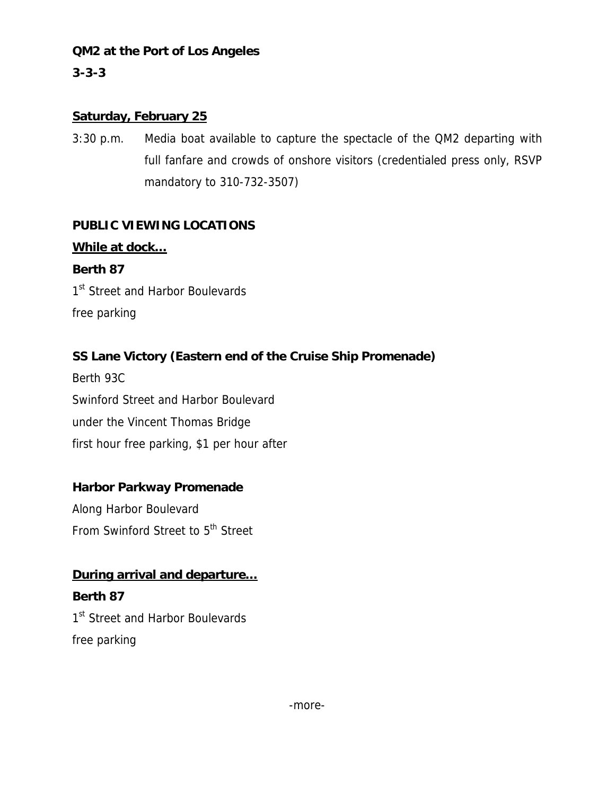### **QM2 at the Port of Los Angeles**

## **3-3-3**

### **Saturday, February 25**

3:30 p.m. Media boat available to capture the spectacle of the QM2 departing with full fanfare and crowds of onshore visitors (credentialed press only, RSVP mandatory to 310-732-3507)

## **PUBLIC VIEWING LOCATIONS**

# **While at dock…**

**Berth 87**  1<sup>st</sup> Street and Harbor Boulevards free parking

## **SS Lane Victory (Eastern end of the Cruise Ship Promenade)**

Berth 93C Swinford Street and Harbor Boulevard under the Vincent Thomas Bridge first hour free parking, \$1 per hour after

## **Harbor Parkway Promenade**

Along Harbor Boulevard From Swinford Street to 5<sup>th</sup> Street

## **During arrival and departure…**

**Berth 87**  1<sup>st</sup> Street and Harbor Boulevards free parking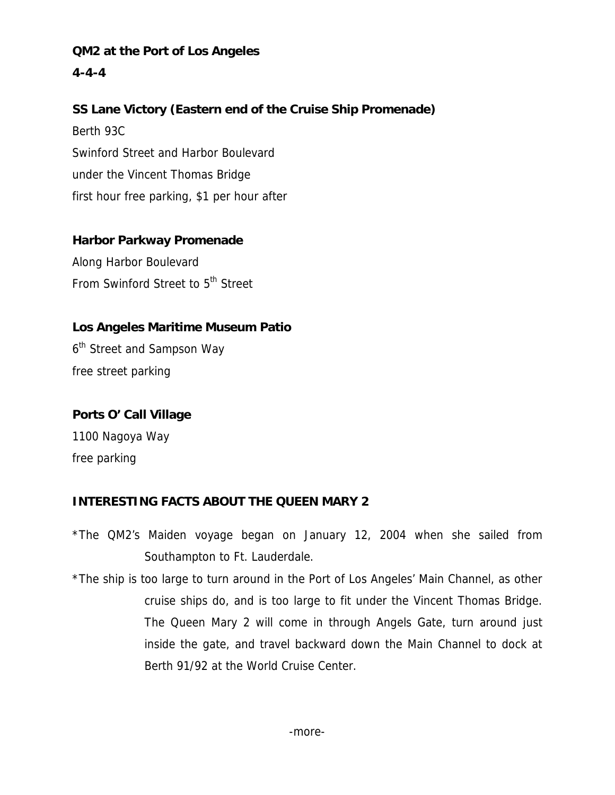**QM2 at the Port of Los Angeles 4-4-4** 

## **SS Lane Victory (Eastern end of the Cruise Ship Promenade)**

Berth 93C Swinford Street and Harbor Boulevard under the Vincent Thomas Bridge first hour free parking, \$1 per hour after

#### **Harbor Parkway Promenade**

Along Harbor Boulevard From Swinford Street to 5<sup>th</sup> Street

### **Los Angeles Maritime Museum Patio**

6<sup>th</sup> Street and Sampson Way free street parking

# **Ports O' Call Village**

1100 Nagoya Way free parking

## **INTERESTING FACTS ABOUT THE QUEEN MARY 2**

\*The QM2's Maiden voyage began on January 12, 2004 when she sailed from Southampton to Ft. Lauderdale.

\*The ship is too large to turn around in the Port of Los Angeles' Main Channel, as other cruise ships do, and is too large to fit under the Vincent Thomas Bridge. The Queen Mary 2 will come in through Angels Gate, turn around just inside the gate, and travel backward down the Main Channel to dock at Berth 91/92 at the World Cruise Center.